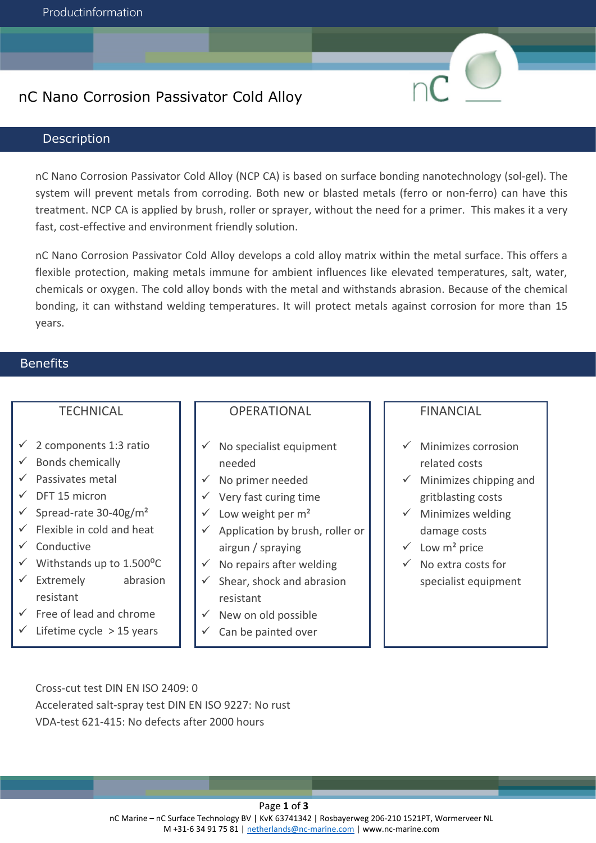## nC Nano Corrosion Passivator Cold Alloy

### **Description**

nC Nano Corrosion Passivator Cold Alloy (NCP CA) is based on surface bonding nanotechnology (sol-gel). The system will prevent metals from corroding. Both new or blasted metals (ferro or non-ferro) can have this treatment. NCP CA is applied by brush, roller or sprayer, without the need for a primer. This makes it a very fast, cost-effective and environment friendly solution.

nC Nano Corrosion Passivator Cold Alloy develops a cold alloy matrix within the metal surface. This offers a flexible protection, making metals immune for ambient influences like elevated temperatures, salt, water, chemicals or oxygen. The cold alloy bonds with the metal and withstands abrasion. Because of the chemical bonding, it can withstand welding temperatures. It will protect metals against corrosion for more than 15 years.

## **Benefits**

### **TECHNICAL**

- $\checkmark$  2 components 1:3 ratio
- $\checkmark$  Bonds chemically
- ✓ Passivates metal
- $\checkmark$  DFT 15 micron
- $\checkmark$  Spread-rate 30-40g/m<sup>2</sup>
- $\checkmark$  Flexible in cold and heat
- ✓ Conductive
- $\checkmark$  Withstands up to 1.500°C
- $\checkmark$  Extremely abrasion resistant
- $\checkmark$  Free of lead and chrome
- $\checkmark$  Lifetime cycle > 15 years

### **OPERATIONAL**

- $\checkmark$  No specialist equipment needed
- $\checkmark$  No primer needed
- $\checkmark$  Very fast curing time
- $\checkmark$  Low weight per m<sup>2</sup>
- $\checkmark$  Application by brush, roller or airgun / spraying
- $\checkmark$  No repairs after welding
- $\checkmark$  Shear, shock and abrasion resistant
- New on old possible
- Can be painted over

#### FINANCIAL

- $\checkmark$  Minimizes corrosion related costs
- $\checkmark$  Minimizes chipping and gritblasting costs
- $\checkmark$  Minimizes welding damage costs
- $\checkmark$  Low m<sup>2</sup> price
- $\checkmark$  No extra costs for specialist equipment

Cross-cut test DIN EN ISO 2409: 0 Accelerated salt-spray test DIN EN ISO 9227: No rust VDA-test 621-415: No defects after 2000 hours

#### Page **1** of **3**

nC Marine – nC Surface Technology BV | KvK 63741342 | Rosbayerweg 206-210 1521PT, Wormerveer NL M +31-6 34 91 75 81 | [netherlands@nc-marine.](mailto:netherlands@nc-marine)com | www.nc-marine.com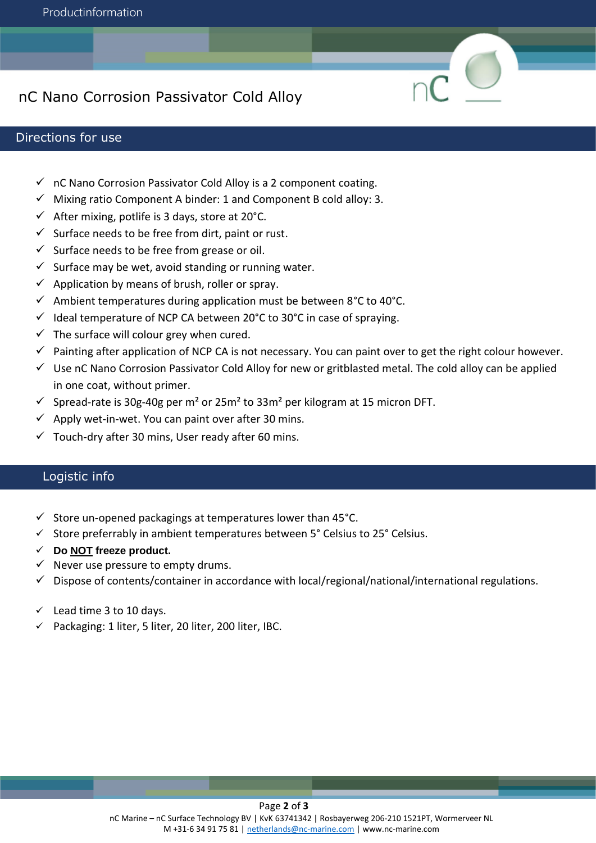# nC Nano Corrosion Passivator Cold Alloy

### Directions for use

- $\checkmark$  nC Nano Corrosion Passivator Cold Alloy is a 2 component coating.
- $\checkmark$  Mixing ratio Component A binder: 1 and Component B cold alloy: 3.
- $\checkmark$  After mixing, potlife is 3 days, store at 20°C.
- $\checkmark$  Surface needs to be free from dirt, paint or rust.
- $\checkmark$  Surface needs to be free from grease or oil.
- $\checkmark$  Surface may be wet, avoid standing or running water.
- $\checkmark$  Application by means of brush, roller or spray.
- $\checkmark$  Ambient temperatures during application must be between 8°C to 40°C.
- $\checkmark$  Ideal temperature of NCP CA between 20°C to 30°C in case of spraying.
- $\checkmark$  The surface will colour grey when cured.
- $\checkmark$  Painting after application of NCP CA is not necessary. You can paint over to get the right colour however.
- ✓ Use nC Nano Corrosion Passivator Cold Alloy for new or gritblasted metal. The cold alloy can be applied in one coat, without primer.
- $≤$  Spread-rate is 30g-40g per m<sup>2</sup> or 25m<sup>2</sup> to 33m<sup>2</sup> per kilogram at 15 micron DFT.
- $\checkmark$  Apply wet-in-wet. You can paint over after 30 mins.
- $\checkmark$  Touch-dry after 30 mins, User ready after 60 mins.

### Logistic info

- $\checkmark$  Store un-opened packagings at temperatures lower than 45°C.
- ✓ Store preferrably in ambient temperatures between 5° Celsius to 25° Celsius.
- ✓ **Do NOT freeze product.**
- $\checkmark$  Never use pressure to empty drums.
- $\checkmark$  Dispose of contents/container in accordance with local/regional/national/international regulations.
- $\checkmark$  Lead time 3 to 10 days.
- ✓ Packaging: 1 liter, 5 liter, 20 liter, 200 liter, IBC.

#### Page **2** of **3**

nC Marine – nC Surface Technology BV | KvK 63741342 | Rosbayerweg 206-210 1521PT, Wormerveer NL M +31-6 34 91 75 81 | [netherlands@nc-marine.com](mailto:netherlands@nc-marine.com) | www.nc-marine.com